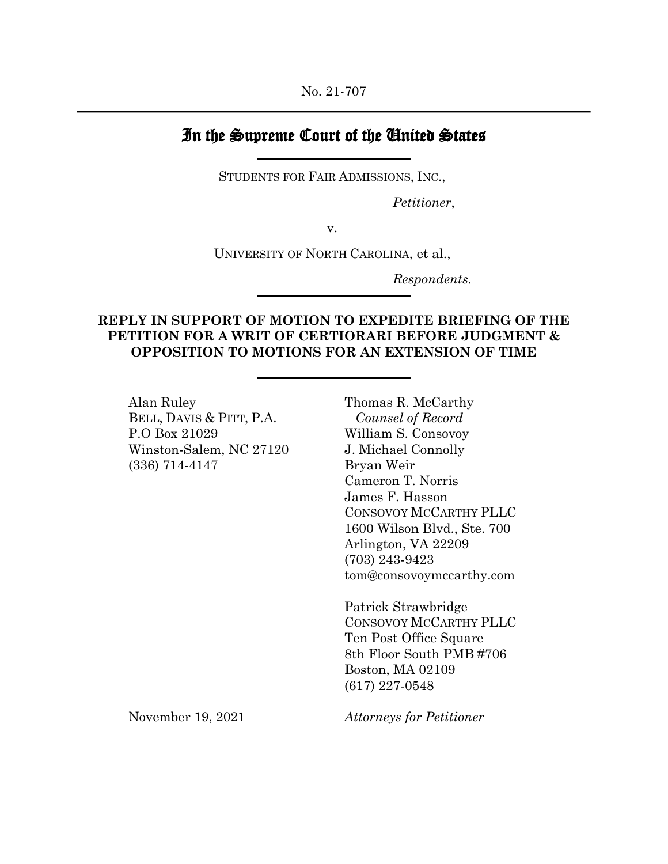## In the Supreme Court of the United States

STUDENTS FOR FAIR ADMISSIONS, INC.,

*Petitioner*,

v.

UNIVERSITY OF NORTH CAROLINA, et al.,

*Respondents.*

## **REPLY IN SUPPORT OF MOTION TO EXPEDITE BRIEFING OF THE PETITION FOR A WRIT OF CERTIORARI BEFORE JUDGMENT & OPPOSITION TO MOTIONS FOR AN EXTENSION OF TIME**

Alan Ruley BELL, DAVIS & PITT, P.A. P.O Box 21029 Winston-Salem, NC 27120 (336) 714-4147

Thomas R. McCarthy *Counsel of Record* William S. Consovoy J. Michael Connolly Bryan Weir Cameron T. Norris James F. Hasson CONSOVOY MCCARTHY PLLC 1600 Wilson Blvd., Ste. 700 Arlington, VA 22209 (703) 243-9423 tom@consovoymccarthy.com

Patrick Strawbridge CONSOVOY MCCARTHY PLLC Ten Post Office Square 8th Floor South PMB #706 Boston, MA 02109 (617) 227-0548

November 19, 2021

*Attorneys for Petitioner*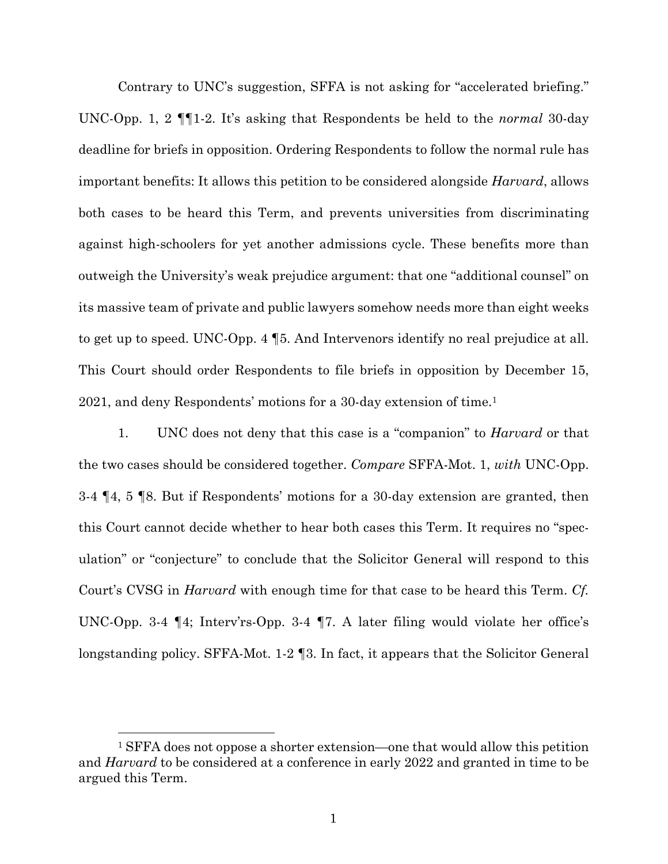Contrary to UNC's suggestion, SFFA is not asking for "accelerated briefing." UNC-Opp. 1, 2 ¶¶1-2. It's asking that Respondents be held to the *normal* 30-day deadline for briefs in opposition. Ordering Respondents to follow the normal rule has important benefits: It allows this petition to be considered alongside *Harvard*, allows both cases to be heard this Term, and prevents universities from discriminating against high-schoolers for yet another admissions cycle. These benefits more than outweigh the University's weak prejudice argument: that one "additional counsel" on its massive team of private and public lawyers somehow needs more than eight weeks to get up to speed. UNC-Opp. 4 ¶5. And Intervenors identify no real prejudice at all. This Court should order Respondents to file briefs in opposition by December 15, 2021, and deny Respondents' motions for a 30-day extension of time.1

1. UNC does not deny that this case is a "companion" to *Harvard* or that the two cases should be considered together. *Compare* SFFA-Mot. 1, *with* UNC-Opp. 3-4 ¶4, 5 ¶8. But if Respondents' motions for a 30-day extension are granted, then this Court cannot decide whether to hear both cases this Term. It requires no "speculation" or "conjecture" to conclude that the Solicitor General will respond to this Court's CVSG in *Harvard* with enough time for that case to be heard this Term. *Cf.*  UNC-Opp. 3-4 ¶4; Interv'rs-Opp. 3-4 ¶7. A later filing would violate her office's longstanding policy. SFFA-Mot. 1-2 ¶3. In fact, it appears that the Solicitor General

<sup>1</sup> SFFA does not oppose a shorter extension—one that would allow this petition and *Harvard* to be considered at a conference in early 2022 and granted in time to be argued this Term.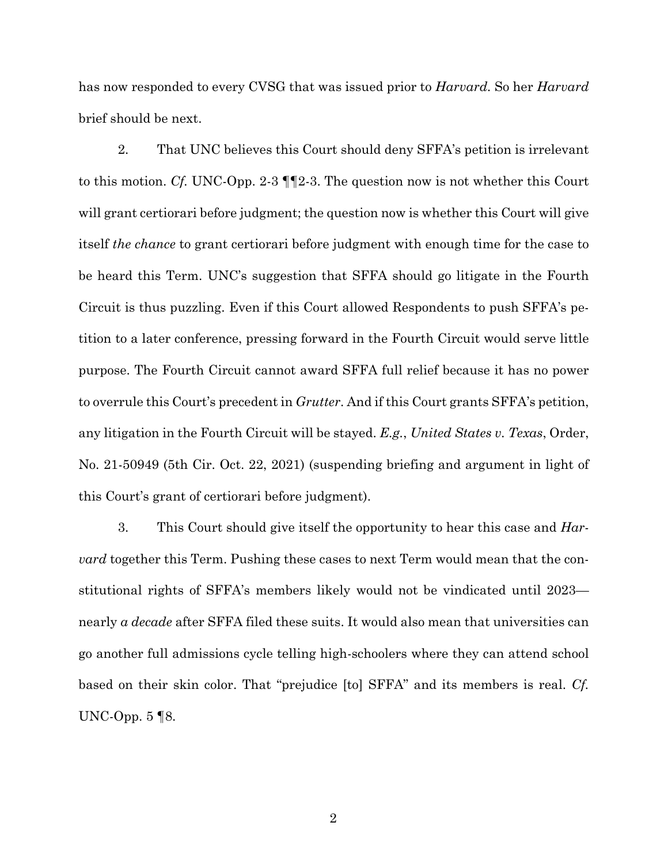has now responded to every CVSG that was issued prior to *Harvard.* So her *Harvard*  brief should be next.

2. That UNC believes this Court should deny SFFA's petition is irrelevant to this motion. *Cf.* UNC-Opp. 2-3 ¶¶2-3. The question now is not whether this Court will grant certiorari before judgment; the question now is whether this Court will give itself *the chance* to grant certiorari before judgment with enough time for the case to be heard this Term. UNC's suggestion that SFFA should go litigate in the Fourth Circuit is thus puzzling. Even if this Court allowed Respondents to push SFFA's petition to a later conference, pressing forward in the Fourth Circuit would serve little purpose. The Fourth Circuit cannot award SFFA full relief because it has no power to overrule this Court's precedent in *Grutter*. And if this Court grants SFFA's petition, any litigation in the Fourth Circuit will be stayed. *E.g.*, *United States v. Texas*, Order, No. 21-50949 (5th Cir. Oct. 22, 2021) (suspending briefing and argument in light of this Court's grant of certiorari before judgment).

3. This Court should give itself the opportunity to hear this case and *Harvard* together this Term. Pushing these cases to next Term would mean that the constitutional rights of SFFA's members likely would not be vindicated until 2023 nearly *a decade* after SFFA filed these suits. It would also mean that universities can go another full admissions cycle telling high-schoolers where they can attend school based on their skin color. That "prejudice [to] SFFA" and its members is real. *Cf.*  UNC-Opp. 5 ¶8.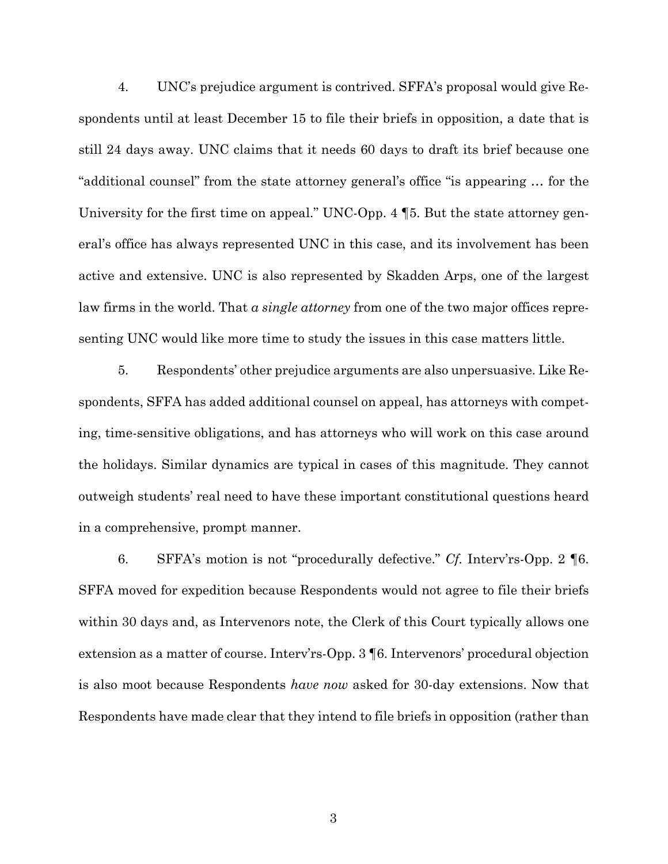4. UNC's prejudice argument is contrived. SFFA's proposal would give Respondents until at least December 15 to file their briefs in opposition, a date that is still 24 days away. UNC claims that it needs 60 days to draft its brief because one "additional counsel" from the state attorney general's office "is appearing … for the University for the first time on appeal." UNC-Opp. 4 ¶5. But the state attorney general's office has always represented UNC in this case, and its involvement has been active and extensive. UNC is also represented by Skadden Arps, one of the largest law firms in the world. That *a single attorney* from one of the two major offices representing UNC would like more time to study the issues in this case matters little.

5. Respondents' other prejudice arguments are also unpersuasive. Like Respondents, SFFA has added additional counsel on appeal, has attorneys with competing, time-sensitive obligations, and has attorneys who will work on this case around the holidays. Similar dynamics are typical in cases of this magnitude. They cannot outweigh students' real need to have these important constitutional questions heard in a comprehensive, prompt manner.

6. SFFA's motion is not "procedurally defective." *Cf.* Interv'rs-Opp. 2 ¶6. SFFA moved for expedition because Respondents would not agree to file their briefs within 30 days and, as Intervenors note, the Clerk of this Court typically allows one extension as a matter of course. Interv'rs-Opp. 3 ¶6. Intervenors' procedural objection is also moot because Respondents *have now* asked for 30-day extensions. Now that Respondents have made clear that they intend to file briefs in opposition (rather than

3